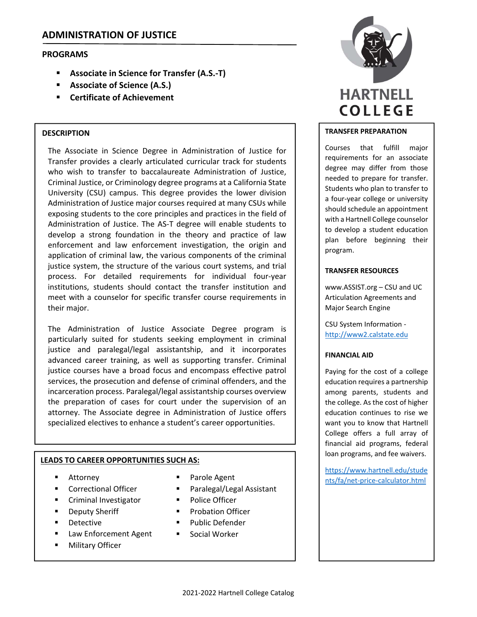# **ADMINISTRATION OF JUSTICE**

## **PROGRAMS**

- **Associate in Science for Transfer (A.S.‐T)**
- **Associate of Science (A.S.)**
- **Certificate of Achievement**

### **DESCRIPTION**

The Associate in Science Degree in Administration of Justice for Transfer provides a clearly articulated curricular track for students who wish to transfer to baccalaureate Administration of Justice, Criminal Justice, or Criminology degree programs at a California State University (CSU) campus. This degree provides the lower division Administration of Justice major courses required at many CSUs while exposing students to the core principles and practices in the field of Administration of Justice. The AS‐T degree will enable students to develop a strong foundation in the theory and practice of law enforcement and law enforcement investigation, the origin and application of criminal law, the various components of the criminal justice system, the structure of the various court systems, and trial process. For detailed requirements for individual four‐year institutions, students should contact the transfer institution and meet with a counselor for specific transfer course requirements in their major.

The Administration of Justice Associate Degree program is particularly suited for students seeking employment in criminal justice and paralegal/legal assistantship, and it incorporates advanced career training, as well as supporting transfer. Criminal justice courses have a broad focus and encompass effective patrol services, the prosecution and defense of criminal offenders, and the incarceration process. Paralegal/legal assistantship courses overview the preparation of cases for court under the supervision of an attorney. The Associate degree in Administration of Justice offers specialized electives to enhance a student's career opportunities.

### **LEADS TO CAREER OPPORTUNITIES SUCH AS:**

- Attorney
- **Correctional Officer**
- Criminal Investigator
- Deputy Sheriff
- **Detective**
- Law Enforcement Agent
- Military Officer
- 
- Paralegal/Legal Assistant
- **Police Officer**
- **Probation Officer**
- Public Defender
- **Social Worker**



### **TRANSFER PREPARATION**

Courses that fulfill major requirements for an associate degree may differ from those needed to prepare for transfer. Students who plan to transfer to a four‐year college or university should schedule an appointment with a Hartnell College counselor to develop a student education plan before beginning their program.

#### **TRANSFER RESOURCES**

www.ASSIST.org – CSU and UC Articulation Agreements and Major Search Engine

CSU System Information ‐ http://www2.calstate.edu

#### **FINANCIAL AID**

Paying for the cost of a college education requires a partnership among parents, students and the college. As the cost of higher education continues to rise we want you to know that Hartnell College offers a full array of financial aid programs, federal loan programs, and fee waivers.

https://www.hartnell.edu/stude Parole Agent https://www.fa/net-price-calculator.html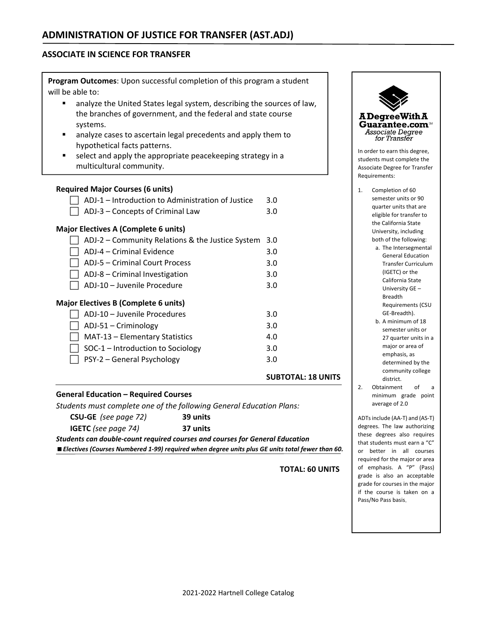## **ASSOCIATE IN SCIENCE FOR TRANSFER**

**Program Outcomes**: Upon successful completion of this program a student will be able to:

- analyze the United States legal system, describing the sources of law, the branches of government, and the federal and state course systems.
- analyze cases to ascertain legal precedents and apply them to hypothetical facts patterns.
- select and apply the appropriate peacekeeping strategy in a multicultural community.

## **Required Major Courses (6 units)**

|                                                   | <b>SUBTOTAL: 18 UNITS</b> |
|---------------------------------------------------|---------------------------|
| PSY-2 – General Psychology                        | 3.0                       |
| SOC-1 – Introduction to Sociology                 | 3.0                       |
| MAT-13 - Elementary Statistics                    | 4.0                       |
| ADJ-51 – Criminology                              | 3.0                       |
| ADJ-10 - Juvenile Procedures                      | 3.0                       |
| <b>Major Electives B (Complete 6 units)</b>       |                           |
| ADJ-10 - Juvenile Procedure                       | 3.0                       |
| ADJ-8 - Criminal Investigation                    | 3.0                       |
| ADJ-5 – Criminal Court Process                    | 3.0                       |
| ADJ-4 – Criminal Evidence                         | 3.0                       |
| ADJ-2 - Community Relations & the Justice System  | 3.0                       |
| <b>Major Electives A (Complete 6 units)</b>       |                           |
| ADJ-3 – Concepts of Criminal Law                  | 3.0                       |
| ADJ-1 - Introduction to Administration of Justice | 3.0                       |
|                                                   |                           |

### **General Education – Required Courses**

*Students must complete one of the following General Education Plans:*

| <b>CSU-GE</b> (see page 72) | 39 units |
|-----------------------------|----------|
| <b>IGETC</b> (see page 74)  | 37 units |

*Students can double‐count required courses and courses for General Education Electives (Courses Numbered 1‐99) required when degree units plus GE units total fewer than 60.*

**TOTAL: 60 UNITS**



- semester units or 90 quarter units that are eligible for transfer to the California State University, including both of the following:
	- a. The Intersegmental General Education Transfer Curriculum (IGETC) or the California State University GE – Breadth Requirements (CSU GE‐Breadth).
	- b. A minimum of 18 semester units or 27 quarter units in a major or area of emphasis, as determined by the community college district.
- 2. Obtainment of a minimum grade point average of 2.0

ADTsinclude (AA‐T) and (AS‐T) degrees. The law authorizing these degrees also requires that students must earn a "C" or better in all courses required for the major or area of emphasis. A "P" (Pass) grade is also an acceptable grade for courses in the major if the course is taken on a Pass/No Pass basis.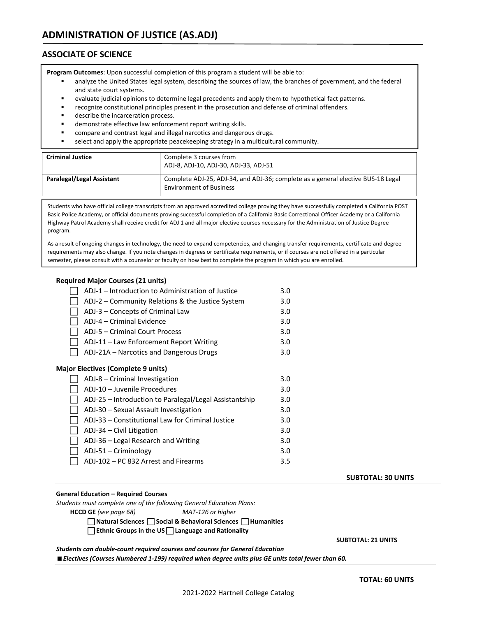## **ASSOCIATE OF SCIENCE**

**Program Outcomes**: Upon successful completion of this program a student will be able to:

- analyze the United States legal system, describing the sources of law, the branches of government, and the federal and state court systems.
- evaluate judicial opinions to determine legal precedents and apply them to hypothetical fact patterns.
- recognize constitutional principles present in the prosecution and defense of criminal offenders.
- describe the incarceration process.
- demonstrate effective law enforcement report writing skills.
- compare and contrast legal and illegal narcotics and dangerous drugs.
- select and apply the appropriate peacekeeping strategy in a multicultural community.

| <b>Criminal Justice</b>   | Complete 3 courses from<br>ADJ-8, ADJ-10, ADJ-30, ADJ-33, ADJ-51                                                   |
|---------------------------|--------------------------------------------------------------------------------------------------------------------|
| Paralegal/Legal Assistant | Complete ADJ-25, ADJ-34, and ADJ-36; complete as a general elective BUS-18 Legal<br><b>Environment of Business</b> |

Students who have official college transcripts from an approved accredited college proving they have successfully completed a California POST Basic Police Academy, or official documents proving successful completion of a California Basic Correctional Officer Academy or a California Highway Patrol Academy shall receive credit for ADJ 1 and all major elective courses necessary for the Administration of Justice Degree program.

As a result of ongoing changes in technology, the need to expand competencies, and changing transfer requirements, certificate and degree requirements may also change. If you note changes in degrees or certificate requirements, or if courses are not offered in a particular semester, please consult with a counselor or faculty on how best to complete the program in which you are enrolled.

#### **Required Major Courses (21 units)**

| ADJ-1 – Introduction to Administration of Justice      | 3.0 |
|--------------------------------------------------------|-----|
| ADJ-2 – Community Relations & the Justice System       | 3.0 |
| ADJ-3 – Concepts of Criminal Law                       | 3.0 |
| ADJ-4 - Criminal Evidence                              | 3.0 |
| ADJ-5 – Criminal Court Process                         | 3.0 |
| ADJ-11 - Law Enforcement Report Writing                | 3.0 |
| ADJ-21A – Narcotics and Dangerous Drugs                | 3.0 |
| <b>Major Electives (Complete 9 units)</b>              |     |
| ADJ-8 – Criminal Investigation                         | 3.0 |
| ADJ-10 – Juvenile Procedures                           | 3.0 |
| ADJ-25 – Introduction to Paralegal/Legal Assistantship | 3.0 |
| ADJ-30 - Sexual Assault Investigation                  | 3.0 |
| ADJ-33 – Constitutional Law for Criminal Justice       | 3.0 |
| ADJ-34 – Civil Litigation                              | 3.0 |
| ADJ-36 – Legal Research and Writing                    | 3.0 |
| $ADJ-51 - Criminology$                                 | 3.0 |
| ADJ-102 – PC 832 Arrest and Firearms                   | 3.5 |
|                                                        |     |

#### **General Education – Required Courses**

*Students must complete one of the following General Education Plans:*

**HCCD GE** *(see page 68) MAT‐126 or higher*

 **Natural Sciences Social & Behavioral Sciences Humanities** 

**Ethnic Groups in the US Language and Rationality**

 **SUBTOTAL: 21 UNITS** 

#### *Students can double‐count required courses and courses for General Education*

*Electives (Courses Numbered 1‐199) required when degree units plus GE units total fewer than 60.*

 **SUBTOTAL: 30 UNITS**